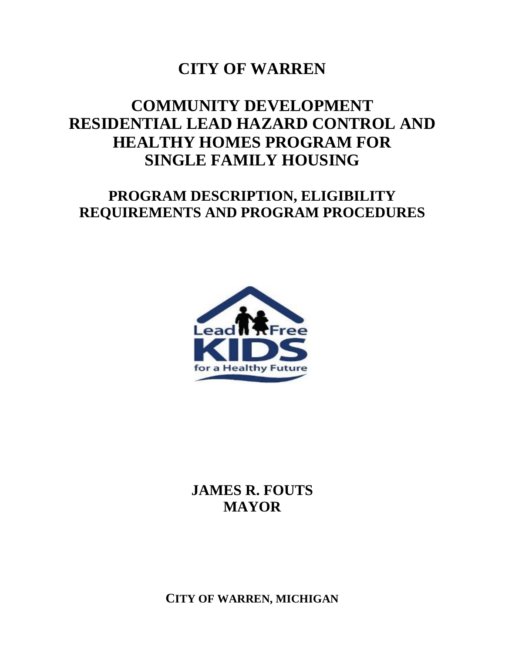# **CITY OF WARREN**

# **COMMUNITY DEVELOPMENT RESIDENTIAL LEAD HAZARD CONTROL AND HEALTHY HOMES PROGRAM FOR SINGLE FAMILY HOUSING**

# **PROGRAM DESCRIPTION, ELIGIBILITY REQUIREMENTS AND PROGRAM PROCEDURES**



**JAMES R. FOUTS MAYOR**

**CITY OF WARREN, MICHIGAN**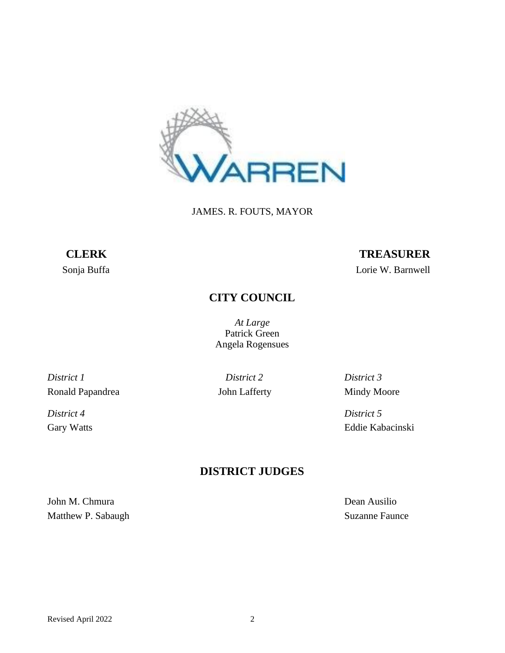

JAMES. R. FOUTS, MAYOR

# **CLERK TREASURER**

Sonja Buffa Lorie W. Barnwell

# **CITY COUNCIL**

*At Large* Patrick Green Angela Rogensues

*District 1 District 2 District 3* Ronald Papandrea Mindy Moore John Lafferty Mindy Moore

*District 4 District 5*

Gary Watts Eddie Kabacinski

## **DISTRICT JUDGES**

John M. Chmura Dean Ausilio Matthew P. Sabaugh Suzanne Faunce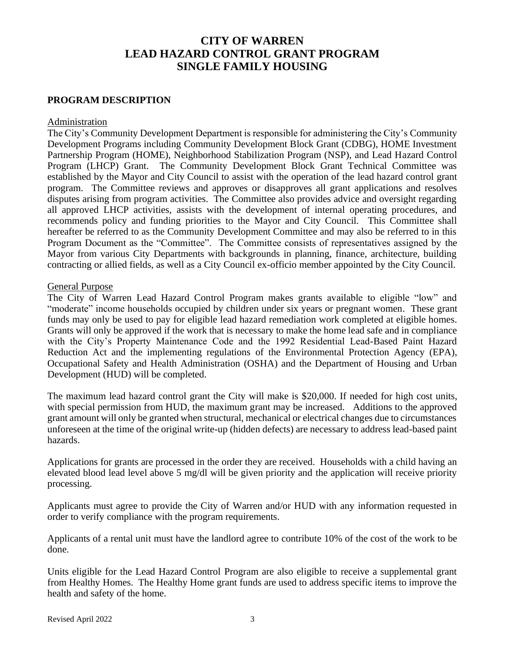## **CITY OF WARREN LEAD HAZARD CONTROL GRANT PROGRAM SINGLE FAMILY HOUSING**

#### **PROGRAM DESCRIPTION**

#### Administration

The City's Community Development Department is responsible for administering the City's Community Development Programs including Community Development Block Grant (CDBG), HOME Investment Partnership Program (HOME), Neighborhood Stabilization Program (NSP), and Lead Hazard Control Program (LHCP) Grant. The Community Development Block Grant Technical Committee was established by the Mayor and City Council to assist with the operation of the lead hazard control grant program. The Committee reviews and approves or disapproves all grant applications and resolves disputes arising from program activities. The Committee also provides advice and oversight regarding all approved LHCP activities, assists with the development of internal operating procedures, and recommends policy and funding priorities to the Mayor and City Council. This Committee shall hereafter be referred to as the Community Development Committee and may also be referred to in this Program Document as the "Committee". The Committee consists of representatives assigned by the Mayor from various City Departments with backgrounds in planning, finance, architecture, building contracting or allied fields, as well as a City Council ex-officio member appointed by the City Council.

#### General Purpose

The City of Warren Lead Hazard Control Program makes grants available to eligible "low" and "moderate" income households occupied by children under six years or pregnant women. These grant funds may only be used to pay for eligible lead hazard remediation work completed at eligible homes. Grants will only be approved if the work that is necessary to make the home lead safe and in compliance with the City's Property Maintenance Code and the 1992 Residential Lead-Based Paint Hazard Reduction Act and the implementing regulations of the Environmental Protection Agency (EPA), Occupational Safety and Health Administration (OSHA) and the Department of Housing and Urban Development (HUD) will be completed.

The maximum lead hazard control grant the City will make is \$20,000. If needed for high cost units, with special permission from HUD, the maximum grant may be increased. Additions to the approved grant amount will only be granted when structural, mechanical or electrical changes due to circumstances unforeseen at the time of the original write-up (hidden defects) are necessary to address lead-based paint hazards.

Applications for grants are processed in the order they are received. Households with a child having an elevated blood lead level above 5 mg/dl will be given priority and the application will receive priority processing.

Applicants must agree to provide the City of Warren and/or HUD with any information requested in order to verify compliance with the program requirements.

Applicants of a rental unit must have the landlord agree to contribute 10% of the cost of the work to be done.

Units eligible for the Lead Hazard Control Program are also eligible to receive a supplemental grant from Healthy Homes. The Healthy Home grant funds are used to address specific items to improve the health and safety of the home.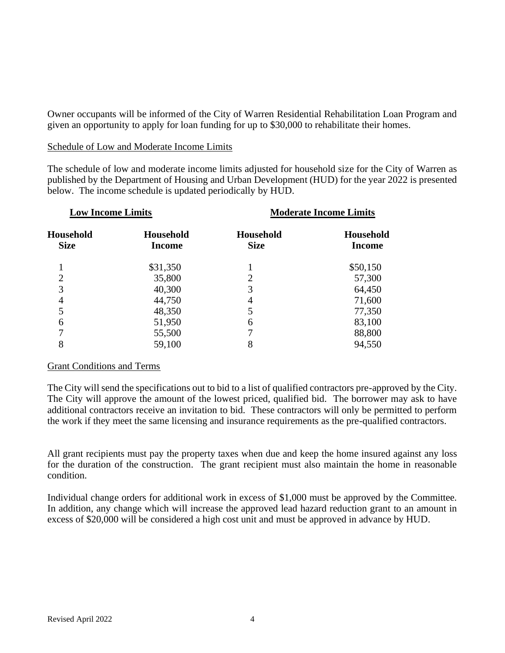Owner occupants will be informed of the City of Warren Residential Rehabilitation Loan Program and given an opportunity to apply for loan funding for up to \$30,000 to rehabilitate their homes.

#### Schedule of Low and Moderate Income Limits

The schedule of low and moderate income limits adjusted for household size for the City of Warren as published by the Department of Housing and Urban Development (HUD) for the year 2022 is presented below. The income schedule is updated periodically by HUD.

| <b>Low Income Limits</b> |                                   | <b>Moderate Income Limits</b> |                                   |
|--------------------------|-----------------------------------|-------------------------------|-----------------------------------|
| Household<br><b>Size</b> | <b>Household</b><br><b>Income</b> | Household<br><b>Size</b>      | <b>Household</b><br><b>Income</b> |
| 1                        | \$31,350                          |                               | \$50,150                          |
| $\overline{2}$           | 35,800                            | 2                             | 57,300                            |
| 3                        | 40,300                            | 3                             | 64,450                            |
| 4                        | 44,750                            | 4                             | 71,600                            |
| 5                        | 48,350                            | 5                             | 77,350                            |
| 6                        | 51,950                            | 6                             | 83,100                            |
| 7                        | 55,500                            |                               | 88,800                            |
| 8                        | 59,100                            | 8                             | 94,550                            |
|                          |                                   |                               |                                   |

#### Grant Conditions and Terms

The City will send the specifications out to bid to a list of qualified contractors pre-approved by the City. The City will approve the amount of the lowest priced, qualified bid. The borrower may ask to have additional contractors receive an invitation to bid. These contractors will only be permitted to perform the work if they meet the same licensing and insurance requirements as the pre-qualified contractors.

All grant recipients must pay the property taxes when due and keep the home insured against any loss for the duration of the construction. The grant recipient must also maintain the home in reasonable condition.

Individual change orders for additional work in excess of \$1,000 must be approved by the Committee. In addition, any change which will increase the approved lead hazard reduction grant to an amount in excess of \$20,000 will be considered a high cost unit and must be approved in advance by HUD.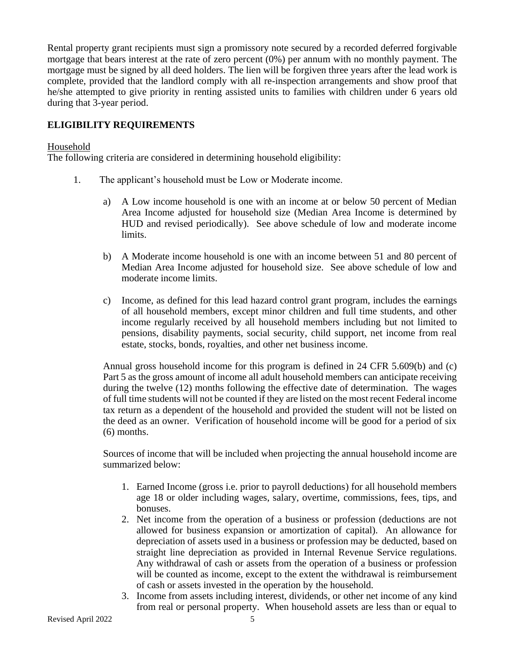Rental property grant recipients must sign a promissory note secured by a recorded deferred forgivable mortgage that bears interest at the rate of zero percent (0%) per annum with no monthly payment. The mortgage must be signed by all deed holders. The lien will be forgiven three years after the lead work is complete, provided that the landlord comply with all re-inspection arrangements and show proof that he/she attempted to give priority in renting assisted units to families with children under 6 years old during that 3-year period.

### **ELIGIBILITY REQUIREMENTS**

#### Household

The following criteria are considered in determining household eligibility:

- 1. The applicant's household must be Low or Moderate income.
	- a) A Low income household is one with an income at or below 50 percent of Median Area Income adjusted for household size (Median Area Income is determined by HUD and revised periodically). See above schedule of low and moderate income limits.
	- b) A Moderate income household is one with an income between 51 and 80 percent of Median Area Income adjusted for household size. See above schedule of low and moderate income limits.
	- c) Income, as defined for this lead hazard control grant program, includes the earnings of all household members, except minor children and full time students, and other income regularly received by all household members including but not limited to pensions, disability payments, social security, child support, net income from real estate, stocks, bonds, royalties, and other net business income.

Annual gross household income for this program is defined in 24 CFR 5.609(b) and (c) Part 5 as the gross amount of income all adult household members can anticipate receiving during the twelve (12) months following the effective date of determination. The wages of full time students will not be counted if they are listed on the most recent Federal income tax return as a dependent of the household and provided the student will not be listed on the deed as an owner. Verification of household income will be good for a period of six (6) months.

Sources of income that will be included when projecting the annual household income are summarized below:

- 1. Earned Income (gross i.e. prior to payroll deductions) for all household members age 18 or older including wages, salary, overtime, commissions, fees, tips, and bonuses.
- 2. Net income from the operation of a business or profession (deductions are not allowed for business expansion or amortization of capital). An allowance for depreciation of assets used in a business or profession may be deducted, based on straight line depreciation as provided in Internal Revenue Service regulations. Any withdrawal of cash or assets from the operation of a business or profession will be counted as income, except to the extent the withdrawal is reimbursement of cash or assets invested in the operation by the household.
- 3. Income from assets including interest, dividends, or other net income of any kind from real or personal property. When household assets are less than or equal to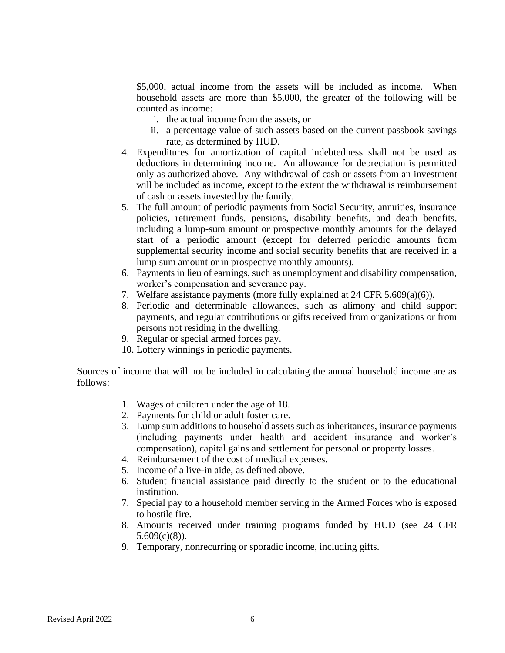\$5,000, actual income from the assets will be included as income. When household assets are more than \$5,000, the greater of the following will be counted as income:

- i. the actual income from the assets, or
- ii. a percentage value of such assets based on the current passbook savings rate, as determined by HUD.
- 4. Expenditures for amortization of capital indebtedness shall not be used as deductions in determining income. An allowance for depreciation is permitted only as authorized above. Any withdrawal of cash or assets from an investment will be included as income, except to the extent the withdrawal is reimbursement of cash or assets invested by the family.
- 5. The full amount of periodic payments from Social Security, annuities, insurance policies, retirement funds, pensions, disability benefits, and death benefits, including a lump-sum amount or prospective monthly amounts for the delayed start of a periodic amount (except for deferred periodic amounts from supplemental security income and social security benefits that are received in a lump sum amount or in prospective monthly amounts).
- 6. Payments in lieu of earnings, such as unemployment and disability compensation, worker's compensation and severance pay.
- 7. Welfare assistance payments (more fully explained at 24 CFR 5.609(a)(6)).
- 8. Periodic and determinable allowances, such as alimony and child support payments, and regular contributions or gifts received from organizations or from persons not residing in the dwelling.
- 9. Regular or special armed forces pay.
- 10. Lottery winnings in periodic payments.

Sources of income that will not be included in calculating the annual household income are as follows:

- 1. Wages of children under the age of 18.
- 2. Payments for child or adult foster care.
- 3. Lump sum additions to household assets such as inheritances, insurance payments (including payments under health and accident insurance and worker's compensation), capital gains and settlement for personal or property losses.
- 4. Reimbursement of the cost of medical expenses.
- 5. Income of a live-in aide, as defined above.
- 6. Student financial assistance paid directly to the student or to the educational institution.
- 7. Special pay to a household member serving in the Armed Forces who is exposed to hostile fire.
- 8. Amounts received under training programs funded by HUD (see 24 CFR 5.609(c)(8)).
- 9. Temporary, nonrecurring or sporadic income, including gifts.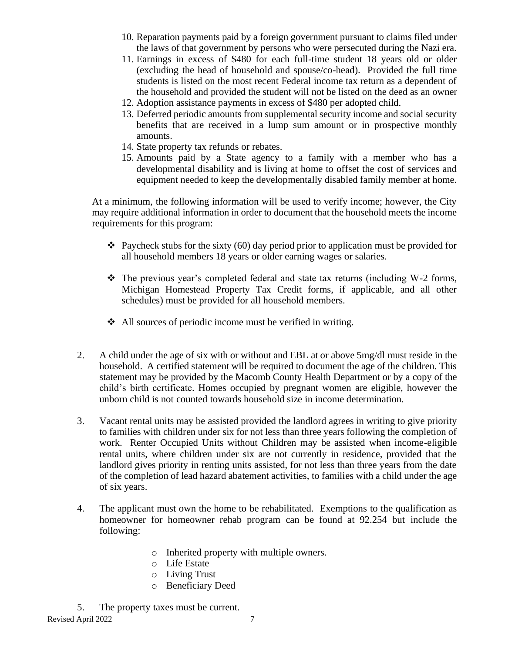- 10. Reparation payments paid by a foreign government pursuant to claims filed under the laws of that government by persons who were persecuted during the Nazi era.
- 11. Earnings in excess of \$480 for each full-time student 18 years old or older (excluding the head of household and spouse/co-head). Provided the full time students is listed on the most recent Federal income tax return as a dependent of the household and provided the student will not be listed on the deed as an owner
- 12. Adoption assistance payments in excess of \$480 per adopted child.
- 13. Deferred periodic amounts from supplemental security income and social security benefits that are received in a lump sum amount or in prospective monthly amounts.
- 14. State property tax refunds or rebates.
- 15. Amounts paid by a State agency to a family with a member who has a developmental disability and is living at home to offset the cost of services and equipment needed to keep the developmentally disabled family member at home.

At a minimum, the following information will be used to verify income; however, the City may require additional information in order to document that the household meets the income requirements for this program:

- $\triangleleft$  Paycheck stubs for the sixty (60) day period prior to application must be provided for all household members 18 years or older earning wages or salaries.
- $\div$  The previous year's completed federal and state tax returns (including W-2 forms, Michigan Homestead Property Tax Credit forms, if applicable, and all other schedules) must be provided for all household members.
- ❖ All sources of periodic income must be verified in writing.
- 2. A child under the age of six with or without and EBL at or above 5mg/dl must reside in the household. A certified statement will be required to document the age of the children. This statement may be provided by the Macomb County Health Department or by a copy of the child's birth certificate. Homes occupied by pregnant women are eligible, however the unborn child is not counted towards household size in income determination.
- 3. Vacant rental units may be assisted provided the landlord agrees in writing to give priority to families with children under six for not less than three years following the completion of work. Renter Occupied Units without Children may be assisted when income-eligible rental units, where children under six are not currently in residence, provided that the landlord gives priority in renting units assisted, for not less than three years from the date of the completion of lead hazard abatement activities, to families with a child under the age of six years.
- 4. The applicant must own the home to be rehabilitated. Exemptions to the qualification as homeowner for homeowner rehab program can be found at 92.254 but include the following:
	- o Inherited property with multiple owners.
	- o Life Estate
	- o Living Trust
	- o Beneficiary Deed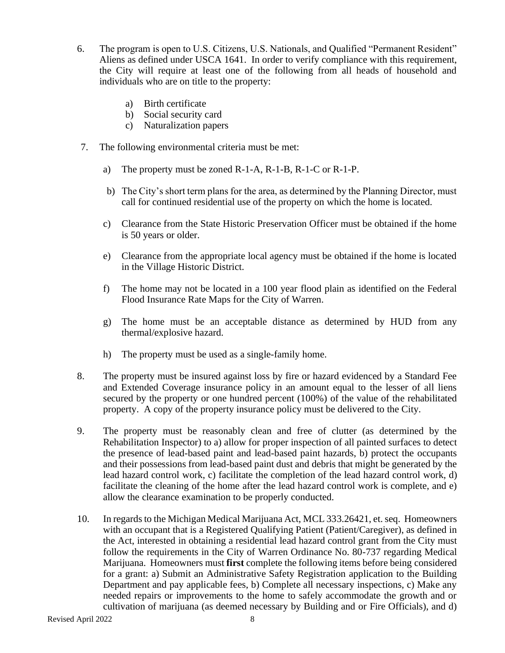- 6. The program is open to U.S. Citizens, U.S. Nationals, and Qualified "Permanent Resident" Aliens as defined under USCA 1641. In order to verify compliance with this requirement, the City will require at least one of the following from all heads of household and individuals who are on title to the property:
	- a) Birth certificate
	- b) Social security card
	- c) Naturalization papers
- 7. The following environmental criteria must be met:
	- a) The property must be zoned R-1-A, R-1-B, R-1-C or R-1-P.
	- b) The City's short term plans for the area, as determined by the Planning Director, must call for continued residential use of the property on which the home is located.
	- c) Clearance from the State Historic Preservation Officer must be obtained if the home is 50 years or older.
	- e) Clearance from the appropriate local agency must be obtained if the home is located in the Village Historic District.
	- f) The home may not be located in a 100 year flood plain as identified on the Federal Flood Insurance Rate Maps for the City of Warren.
	- g) The home must be an acceptable distance as determined by HUD from any thermal/explosive hazard.
	- h) The property must be used as a single-family home.
- 8. The property must be insured against loss by fire or hazard evidenced by a Standard Fee and Extended Coverage insurance policy in an amount equal to the lesser of all liens secured by the property or one hundred percent (100%) of the value of the rehabilitated property. A copy of the property insurance policy must be delivered to the City.
- 9. The property must be reasonably clean and free of clutter (as determined by the Rehabilitation Inspector) to a) allow for proper inspection of all painted surfaces to detect the presence of lead-based paint and lead-based paint hazards, b) protect the occupants and their possessions from lead-based paint dust and debris that might be generated by the lead hazard control work, c) facilitate the completion of the lead hazard control work, d) facilitate the cleaning of the home after the lead hazard control work is complete, and e) allow the clearance examination to be properly conducted.
- 10. In regards to the Michigan Medical Marijuana Act, MCL 333.26421, et. seq. Homeowners with an occupant that is a Registered Qualifying Patient (Patient/Caregiver), as defined in the Act, interested in obtaining a residential lead hazard control grant from the City must follow the requirements in the City of Warren Ordinance No. 80-737 regarding Medical Marijuana. Homeowners must **first** complete the following items before being considered for a grant: a) Submit an Administrative Safety Registration application to the Building Department and pay applicable fees, b) Complete all necessary inspections, c) Make any needed repairs or improvements to the home to safely accommodate the growth and or cultivation of marijuana (as deemed necessary by Building and or Fire Officials), and d)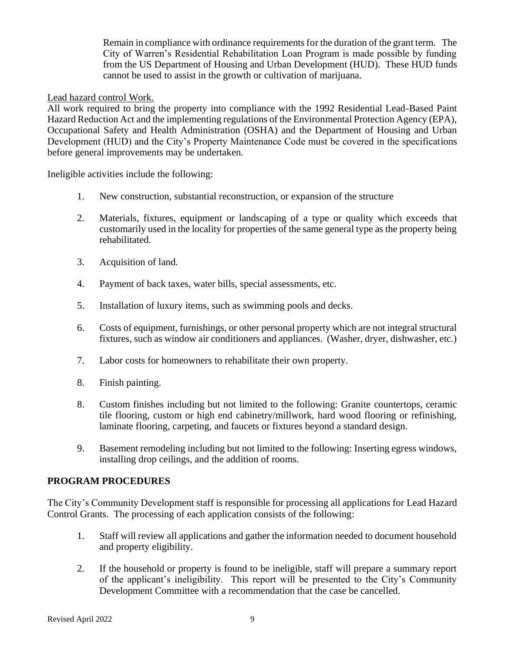Remain in compliance with ordinance requirements for the duration of the grant term. The City of Warren's Residential Rehabilitation Loan Program is made possible by funding from the US Department of Housing and Urban Development (HUD). These HUD funds cannot be used to assist in the growth or cultivation of marijuana.

#### Lead hazard control Work.

All work required to bring the property into compliance with the 1992 Residential Lead-Based Paint Hazard Reduction Act and the implementing regulations of the Environmental Protection Agency (EPA), Occupational Safety and Health Administration (OSHA) and the Department of Housing and Urban Development (HUD) and the City's Property Maintenance Code must be covered in the specifications before general improvements may be undertaken.

Ineligible activities include the following:

- 1. New construction, substantial reconstruction, or expansion of the structure
- 2. Materials, fixtures, equipment or landscaping of a type or quality which exceeds that customarily used in the locality for properties of the same general type as the property being rehabilitated.
- 3. Acquisition of land.
- 4. Payment of back taxes, water bills, special assessments, etc.
- 5. Installation of luxury items, such as swimming pools and decks.
- 6. Costs of equipment, furnishings, or other personal property which are not integral structural fixtures, such as window air conditioners and appliances. (Washer, dryer, dishwasher, etc.)
- 7. Labor costs for homeowners to rehabilitate their own property.
- 8. Finish painting.
- 8. Custom finishes including but not limited to the following: Granite countertops, ceramic tile flooring, custom or high end cabinetry/millwork, hard wood flooring or refinishing, laminate flooring, carpeting, and faucets or fixtures beyond a standard design.
- 9. Basement remodeling including but not limited to the following: Inserting egress windows, installing drop ceilings, and the addition of rooms.

#### **PROGRAM PROCEDURES**

The City's Community Development staff is responsible for processing all applications for Lead Hazard Control Grants. The processing of each application consists of the following:

- 1. Staff will review all applications and gather the information needed to document household and property eligibility.
- 2. If the household or property is found to be ineligible, staff will prepare a summary report of the applicant's ineligibility. This report will be presented to the City's Community Development Committee with a recommendation that the case be cancelled.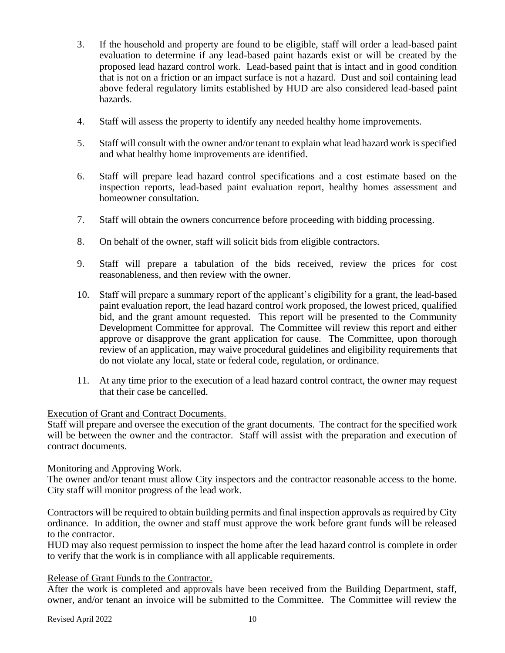- 3. If the household and property are found to be eligible, staff will order a lead-based paint evaluation to determine if any lead-based paint hazards exist or will be created by the proposed lead hazard control work. Lead-based paint that is intact and in good condition that is not on a friction or an impact surface is not a hazard. Dust and soil containing lead above federal regulatory limits established by HUD are also considered lead-based paint hazards.
- 4. Staff will assess the property to identify any needed healthy home improvements.
- 5. Staff will consult with the owner and/or tenant to explain what lead hazard work is specified and what healthy home improvements are identified.
- 6. Staff will prepare lead hazard control specifications and a cost estimate based on the inspection reports, lead-based paint evaluation report, healthy homes assessment and homeowner consultation.
- 7. Staff will obtain the owners concurrence before proceeding with bidding processing.
- 8. On behalf of the owner, staff will solicit bids from eligible contractors.
- 9. Staff will prepare a tabulation of the bids received, review the prices for cost reasonableness, and then review with the owner.
- 10. Staff will prepare a summary report of the applicant's eligibility for a grant, the lead-based paint evaluation report, the lead hazard control work proposed, the lowest priced, qualified bid, and the grant amount requested. This report will be presented to the Community Development Committee for approval. The Committee will review this report and either approve or disapprove the grant application for cause. The Committee, upon thorough review of an application, may waive procedural guidelines and eligibility requirements that do not violate any local, state or federal code, regulation, or ordinance.
- 11. At any time prior to the execution of a lead hazard control contract, the owner may request that their case be cancelled.

#### Execution of Grant and Contract Documents.

Staff will prepare and oversee the execution of the grant documents. The contract for the specified work will be between the owner and the contractor. Staff will assist with the preparation and execution of contract documents.

#### Monitoring and Approving Work.

The owner and/or tenant must allow City inspectors and the contractor reasonable access to the home. City staff will monitor progress of the lead work.

Contractors will be required to obtain building permits and final inspection approvals as required by City ordinance. In addition, the owner and staff must approve the work before grant funds will be released to the contractor.

HUD may also request permission to inspect the home after the lead hazard control is complete in order to verify that the work is in compliance with all applicable requirements.

#### Release of Grant Funds to the Contractor.

After the work is completed and approvals have been received from the Building Department, staff, owner, and/or tenant an invoice will be submitted to the Committee. The Committee will review the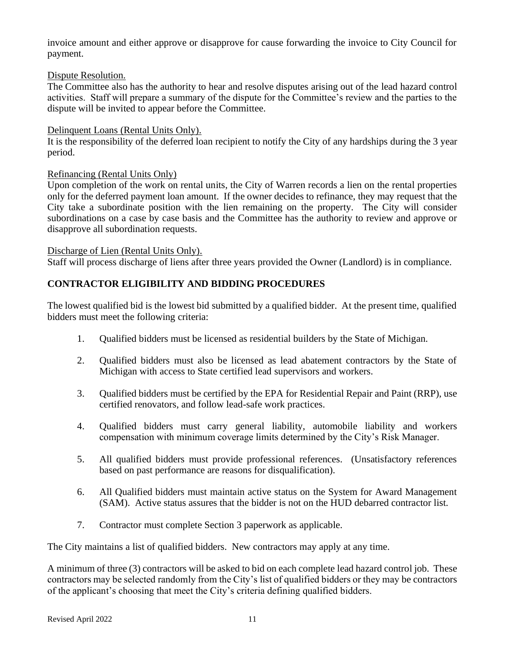invoice amount and either approve or disapprove for cause forwarding the invoice to City Council for payment.

#### Dispute Resolution.

The Committee also has the authority to hear and resolve disputes arising out of the lead hazard control activities. Staff will prepare a summary of the dispute for the Committee's review and the parties to the dispute will be invited to appear before the Committee.

#### Delinquent Loans (Rental Units Only).

It is the responsibility of the deferred loan recipient to notify the City of any hardships during the 3 year period.

### Refinancing (Rental Units Only)

Upon completion of the work on rental units, the City of Warren records a lien on the rental properties only for the deferred payment loan amount. If the owner decides to refinance, they may request that the City take a subordinate position with the lien remaining on the property. The City will consider subordinations on a case by case basis and the Committee has the authority to review and approve or disapprove all subordination requests.

#### Discharge of Lien (Rental Units Only).

Staff will process discharge of liens after three years provided the Owner (Landlord) is in compliance.

## **CONTRACTOR ELIGIBILITY AND BIDDING PROCEDURES**

The lowest qualified bid is the lowest bid submitted by a qualified bidder. At the present time, qualified bidders must meet the following criteria:

- 1. Qualified bidders must be licensed as residential builders by the State of Michigan.
- 2. Qualified bidders must also be licensed as lead abatement contractors by the State of Michigan with access to State certified lead supervisors and workers.
- 3. Qualified bidders must be certified by the EPA for Residential Repair and Paint (RRP), use certified renovators, and follow lead-safe work practices.
- 4. Qualified bidders must carry general liability, automobile liability and workers compensation with minimum coverage limits determined by the City's Risk Manager.
- 5. All qualified bidders must provide professional references. (Unsatisfactory references based on past performance are reasons for disqualification).
- 6. All Qualified bidders must maintain active status on the System for Award Management (SAM). Active status assures that the bidder is not on the HUD debarred contractor list.
- 7. Contractor must complete Section 3 paperwork as applicable.

The City maintains a list of qualified bidders. New contractors may apply at any time.

A minimum of three (3) contractors will be asked to bid on each complete lead hazard control job. These contractors may be selected randomly from the City's list of qualified bidders or they may be contractors of the applicant's choosing that meet the City's criteria defining qualified bidders.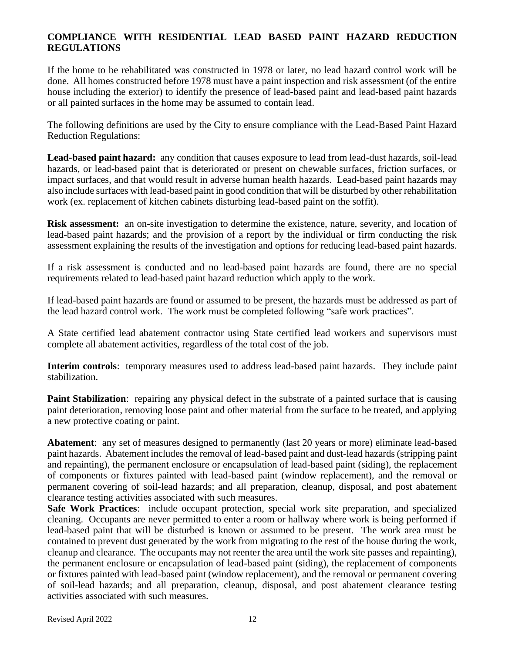### **COMPLIANCE WITH RESIDENTIAL LEAD BASED PAINT HAZARD REDUCTION REGULATIONS**

If the home to be rehabilitated was constructed in 1978 or later, no lead hazard control work will be done. All homes constructed before 1978 must have a paint inspection and risk assessment (of the entire house including the exterior) to identify the presence of lead-based paint and lead-based paint hazards or all painted surfaces in the home may be assumed to contain lead.

The following definitions are used by the City to ensure compliance with the Lead-Based Paint Hazard Reduction Regulations:

Lead-based paint hazard: any condition that causes exposure to lead from lead-dust hazards, soil-lead hazards, or lead-based paint that is deteriorated or present on chewable surfaces, friction surfaces, or impact surfaces, and that would result in adverse human health hazards. Lead-based paint hazards may also include surfaces with lead-based paint in good condition that will be disturbed by other rehabilitation work (ex. replacement of kitchen cabinets disturbing lead-based paint on the soffit).

**Risk assessment:** an on-site investigation to determine the existence, nature, severity, and location of lead-based paint hazards; and the provision of a report by the individual or firm conducting the risk assessment explaining the results of the investigation and options for reducing lead-based paint hazards.

If a risk assessment is conducted and no lead-based paint hazards are found, there are no special requirements related to lead-based paint hazard reduction which apply to the work.

If lead-based paint hazards are found or assumed to be present, the hazards must be addressed as part of the lead hazard control work. The work must be completed following "safe work practices".

A State certified lead abatement contractor using State certified lead workers and supervisors must complete all abatement activities, regardless of the total cost of the job.

**Interim controls**: temporary measures used to address lead-based paint hazards. They include paint stabilization.

**Paint Stabilization**: repairing any physical defect in the substrate of a painted surface that is causing paint deterioration, removing loose paint and other material from the surface to be treated, and applying a new protective coating or paint.

**Abatement**: any set of measures designed to permanently (last 20 years or more) eliminate lead-based paint hazards. Abatement includes the removal of lead-based paint and dust-lead hazards (stripping paint and repainting), the permanent enclosure or encapsulation of lead-based paint (siding), the replacement of components or fixtures painted with lead-based paint (window replacement), and the removal or permanent covering of soil-lead hazards; and all preparation, cleanup, disposal, and post abatement clearance testing activities associated with such measures.

**Safe Work Practices**: include occupant protection, special work site preparation, and specialized cleaning. Occupants are never permitted to enter a room or hallway where work is being performed if lead-based paint that will be disturbed is known or assumed to be present. The work area must be contained to prevent dust generated by the work from migrating to the rest of the house during the work, cleanup and clearance. The occupants may not reenter the area until the work site passes and repainting), the permanent enclosure or encapsulation of lead-based paint (siding), the replacement of components or fixtures painted with lead-based paint (window replacement), and the removal or permanent covering of soil-lead hazards; and all preparation, cleanup, disposal, and post abatement clearance testing activities associated with such measures.